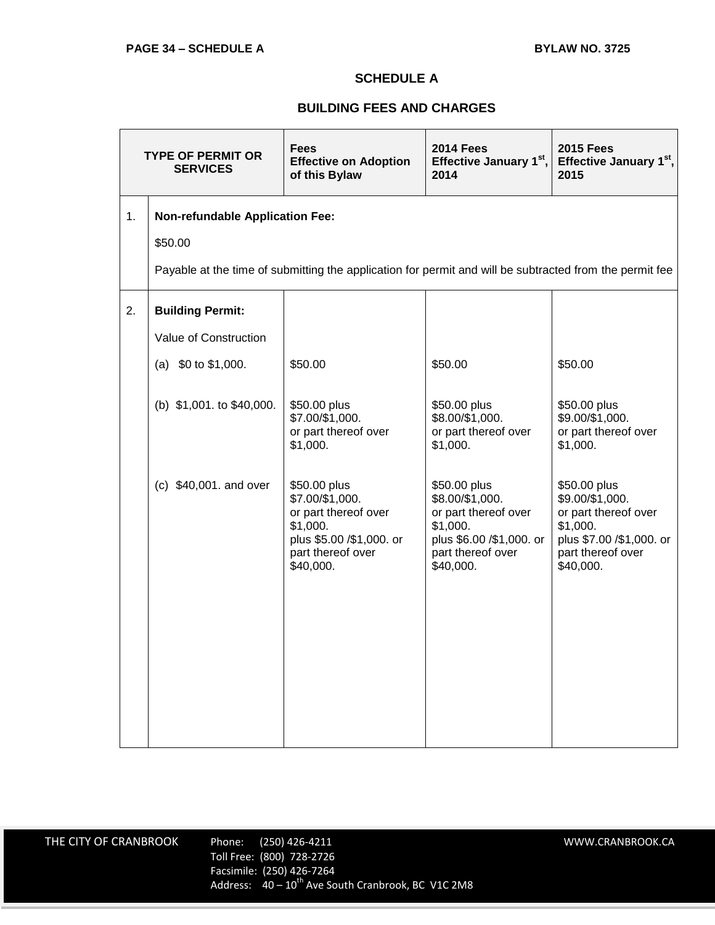## **SCHEDULE A**

## **BUILDING FEES AND CHARGES**

| <b>TYPE OF PERMIT OR</b><br><b>SERVICES</b> |                                                                                                         | <b>Fees</b><br><b>Effective on Adoption</b><br>of this Bylaw                                                                      | <b>2014 Fees</b><br>Effective January 1st,<br>2014                                                                                | <b>2015 Fees</b><br>Effective January 1st,<br>2015                                                                                |  |
|---------------------------------------------|---------------------------------------------------------------------------------------------------------|-----------------------------------------------------------------------------------------------------------------------------------|-----------------------------------------------------------------------------------------------------------------------------------|-----------------------------------------------------------------------------------------------------------------------------------|--|
| 1.                                          | <b>Non-refundable Application Fee:</b>                                                                  |                                                                                                                                   |                                                                                                                                   |                                                                                                                                   |  |
|                                             | \$50.00                                                                                                 |                                                                                                                                   |                                                                                                                                   |                                                                                                                                   |  |
|                                             | Payable at the time of submitting the application for permit and will be subtracted from the permit fee |                                                                                                                                   |                                                                                                                                   |                                                                                                                                   |  |
| 2.                                          | <b>Building Permit:</b>                                                                                 |                                                                                                                                   |                                                                                                                                   |                                                                                                                                   |  |
|                                             | Value of Construction                                                                                   |                                                                                                                                   |                                                                                                                                   |                                                                                                                                   |  |
|                                             | (a) $$0$ to $$1,000$ .                                                                                  | \$50.00                                                                                                                           | \$50.00                                                                                                                           | \$50.00                                                                                                                           |  |
|                                             | (b) \$1,001. to \$40,000.                                                                               | \$50.00 plus<br>\$7.00/\$1,000.<br>or part thereof over<br>\$1,000.                                                               | \$50.00 plus<br>\$8.00/\$1,000.<br>or part thereof over<br>\$1,000.                                                               | \$50.00 plus<br>\$9.00/\$1,000.<br>or part thereof over<br>\$1,000.                                                               |  |
|                                             | (c) \$40,001. and over                                                                                  | \$50.00 plus<br>\$7.00/\$1,000.<br>or part thereof over<br>\$1,000.<br>plus \$5.00 /\$1,000. or<br>part thereof over<br>\$40,000. | \$50.00 plus<br>\$8.00/\$1,000.<br>or part thereof over<br>\$1,000.<br>plus \$6.00 /\$1,000. or<br>part thereof over<br>\$40,000. | \$50.00 plus<br>\$9.00/\$1,000.<br>or part thereof over<br>\$1,000.<br>plus \$7.00 /\$1,000. or<br>part thereof over<br>\$40,000. |  |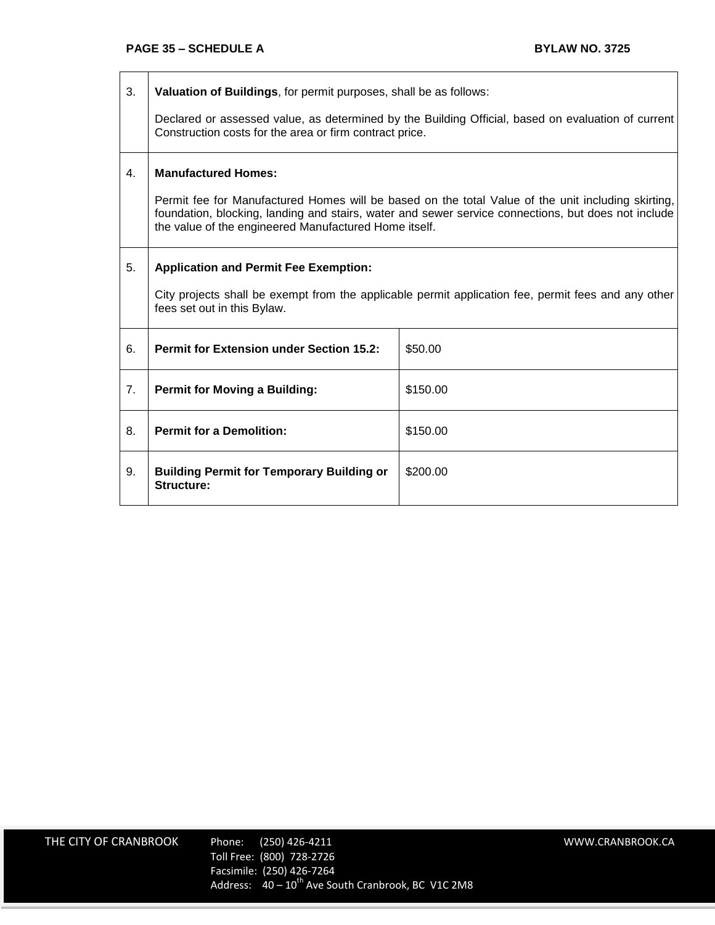3. **Valuation of Buildings**, for permit purposes, shall be as follows:

Declared or assessed value, as determined by the Building Official, based on evaluation of current Construction costs for the area or firm contract price.

## 4. **Manufactured Homes:**

Permit fee for Manufactured Homes will be based on the total Value of the unit including skirting, foundation, blocking, landing and stairs, water and sewer service connections, but does not include the value of the engineered Manufactured Home itself.

## 5. **Application and Permit Fee Exemption:**

City projects shall be exempt from the applicable permit application fee, permit fees and any other fees set out in this Bylaw.

| 6.             | <b>Permit for Extension under Section 15.2:</b>                | \$50.00  |
|----------------|----------------------------------------------------------------|----------|
| 7 <sub>1</sub> | <b>Permit for Moving a Building:</b>                           | \$150.00 |
| 8.             | <b>Permit for a Demolition:</b>                                | \$150.00 |
| 9.             | <b>Building Permit for Temporary Building or</b><br>Structure: | \$200.00 |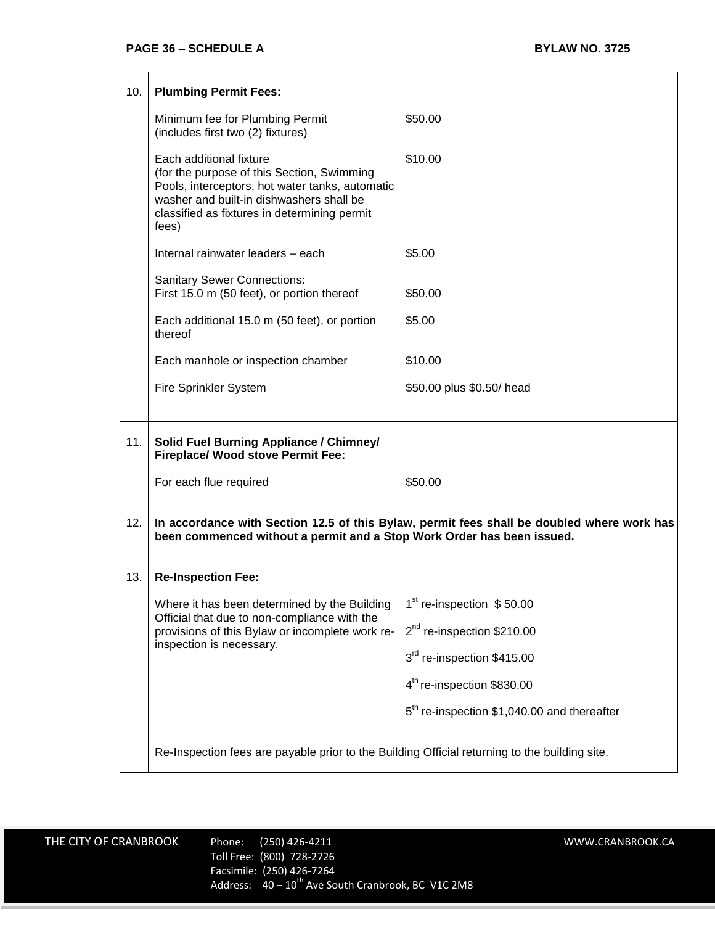| 10. | <b>Plumbing Permit Fees:</b>                                                                                                                                                                                                  |                                                         |  |
|-----|-------------------------------------------------------------------------------------------------------------------------------------------------------------------------------------------------------------------------------|---------------------------------------------------------|--|
|     | Minimum fee for Plumbing Permit<br>(includes first two (2) fixtures)                                                                                                                                                          | \$50.00                                                 |  |
|     | Each additional fixture<br>(for the purpose of this Section, Swimming<br>Pools, interceptors, hot water tanks, automatic<br>washer and built-in dishwashers shall be<br>classified as fixtures in determining permit<br>fees) | \$10.00                                                 |  |
|     | Internal rainwater leaders - each                                                                                                                                                                                             | \$5.00                                                  |  |
|     | <b>Sanitary Sewer Connections:</b><br>First 15.0 m (50 feet), or portion thereof                                                                                                                                              | \$50.00                                                 |  |
|     | Each additional 15.0 m (50 feet), or portion<br>thereof                                                                                                                                                                       | \$5.00                                                  |  |
|     | Each manhole or inspection chamber                                                                                                                                                                                            | \$10.00                                                 |  |
|     | Fire Sprinkler System                                                                                                                                                                                                         | \$50.00 plus \$0.50/ head                               |  |
| 11. | <b>Solid Fuel Burning Appliance / Chimney/</b><br><b>Fireplace/ Wood stove Permit Fee:</b>                                                                                                                                    |                                                         |  |
|     | For each flue required                                                                                                                                                                                                        | \$50.00                                                 |  |
| 12. | In accordance with Section 12.5 of this Bylaw, permit fees shall be doubled where work has<br>been commenced without a permit and a Stop Work Order has been issued.                                                          |                                                         |  |
| 13. | <b>Re-Inspection Fee:</b>                                                                                                                                                                                                     |                                                         |  |
|     | Where it has been determined by the Building                                                                                                                                                                                  | 1 <sup>st</sup> re-inspection \$50.00                   |  |
|     | Official that due to non-compliance with the<br>provisions of this Bylaw or incomplete work re-<br>inspection is necessary.                                                                                                   | 2 <sup>nd</sup> re-inspection \$210.00                  |  |
|     |                                                                                                                                                                                                                               | 3 <sup>rd</sup> re-inspection \$415.00                  |  |
|     |                                                                                                                                                                                                                               | 4 <sup>th</sup> re-inspection \$830.00                  |  |
|     |                                                                                                                                                                                                                               | 5 <sup>th</sup> re-inspection \$1,040.00 and thereafter |  |
|     | Re-Inspection fees are payable prior to the Building Official returning to the building site.                                                                                                                                 |                                                         |  |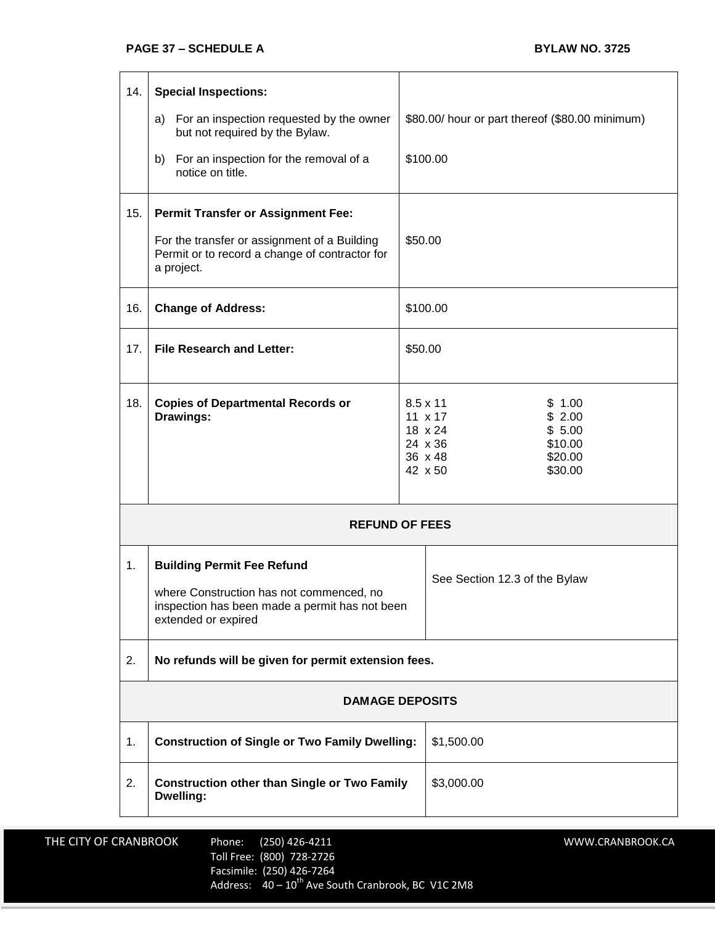| 14.                    | <b>Special Inspections:</b>                                                                                                                            |  |                                                                                                                                              |  |
|------------------------|--------------------------------------------------------------------------------------------------------------------------------------------------------|--|----------------------------------------------------------------------------------------------------------------------------------------------|--|
|                        | a) For an inspection requested by the owner<br>but not required by the Bylaw.                                                                          |  | \$80.00/ hour or part thereof (\$80.00 minimum)                                                                                              |  |
|                        | b) For an inspection for the removal of a<br>notice on title.                                                                                          |  | \$100.00                                                                                                                                     |  |
| 15.                    | <b>Permit Transfer or Assignment Fee:</b>                                                                                                              |  |                                                                                                                                              |  |
|                        | For the transfer or assignment of a Building<br>Permit or to record a change of contractor for<br>a project.                                           |  | \$50.00                                                                                                                                      |  |
| 16.                    | <b>Change of Address:</b>                                                                                                                              |  | \$100.00                                                                                                                                     |  |
| 17.                    | <b>File Research and Letter:</b>                                                                                                                       |  | \$50.00                                                                                                                                      |  |
| 18.                    | <b>Copies of Departmental Records or</b><br>Drawings:                                                                                                  |  | \$1.00<br>$8.5 \times 11$<br>\$2.00<br>$11 \times 17$<br>\$5.00<br>18 x 24<br>24 x 36<br>\$10.00<br>36 x 48<br>\$20.00<br>\$30.00<br>42 x 50 |  |
| <b>REFUND OF FEES</b>  |                                                                                                                                                        |  |                                                                                                                                              |  |
| 1.                     | <b>Building Permit Fee Refund</b><br>where Construction has not commenced, no<br>inspection has been made a permit has not been<br>extended or expired |  | See Section 12.3 of the Bylaw                                                                                                                |  |
| 2.                     | No refunds will be given for permit extension fees.                                                                                                    |  |                                                                                                                                              |  |
| <b>DAMAGE DEPOSITS</b> |                                                                                                                                                        |  |                                                                                                                                              |  |
| 1.                     | <b>Construction of Single or Two Family Dwelling:</b>                                                                                                  |  | \$1,500.00                                                                                                                                   |  |
| 2.                     | <b>Construction other than Single or Two Family</b><br>Dwelling:                                                                                       |  | \$3,000.00                                                                                                                                   |  |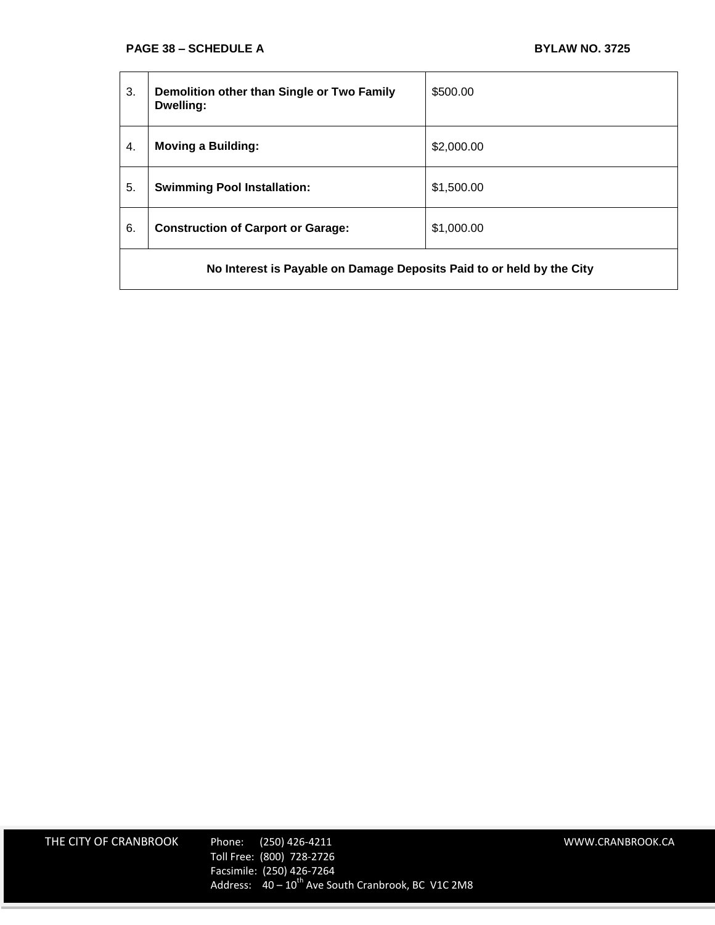| 3.                                                                    | Demolition other than Single or Two Family<br>Dwelling: | \$500.00   |  |
|-----------------------------------------------------------------------|---------------------------------------------------------|------------|--|
| 4.                                                                    | <b>Moving a Building:</b>                               | \$2,000.00 |  |
| 5.                                                                    | <b>Swimming Pool Installation:</b>                      | \$1,500.00 |  |
| 6.                                                                    | <b>Construction of Carport or Garage:</b>               | \$1,000.00 |  |
| No Interest is Payable on Damage Deposits Paid to or held by the City |                                                         |            |  |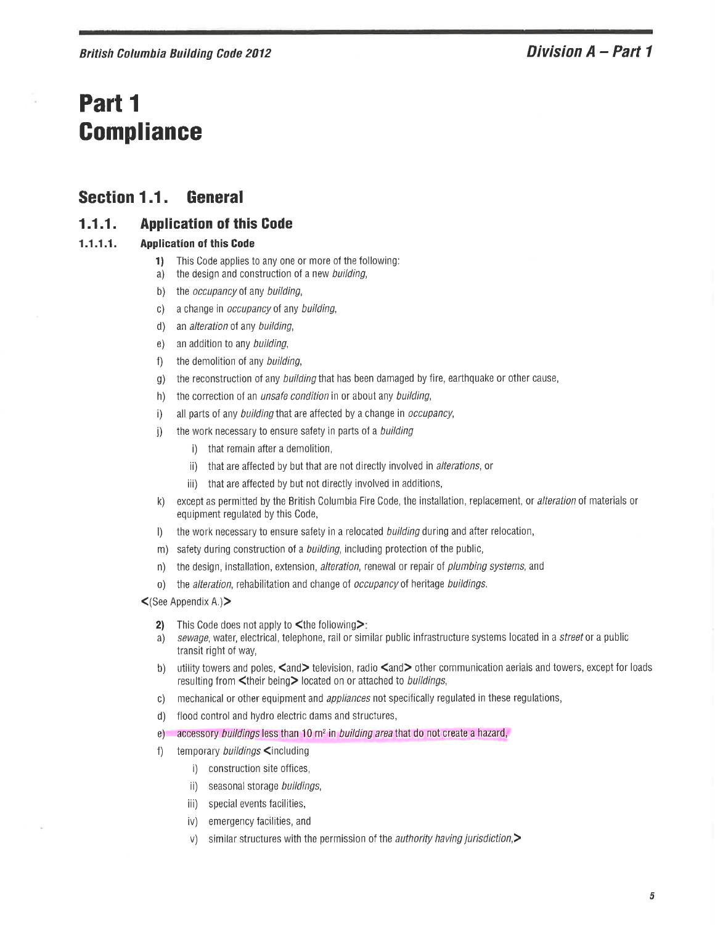# Part 1 **Compliance**

#### Section 1.1. General

#### $1.1.1.$ **Application of this Code**

#### $1.1.1.1.$ **Application of this Code**

- This Code applies to any one or more of the following: 1)
- the design and construction of a new building, a)
- $b)$ the *occupancy* of any building,
- a change in occupancy of any building,  $\mathsf{C}$
- $d)$ an alteration of any building,
- an addition to any building,  $e)$
- the demolition of any building,  $f)$
- the reconstruction of any *building* that has been damaged by fire, earthquake or other cause,  $g)$
- the correction of an *unsafe condition* in or about any building,  $h)$
- all parts of any *building* that are affected by a change in *occupancy*,  $\vert$
- the work necessary to ensure safety in parts of a building  $\mathbf{j}$ 
	- i) that remain after a demolition,
	- ii) that are affected by but that are not directly involved in alterations, or
	- iii) that are affected by but not directly involved in additions,
- except as permitted by the British Columbia Fire Code, the installation, replacement, or alteration of materials or k) equipment regulated by this Code,
- the work necessary to ensure safety in a relocated building during and after relocation,  $\vert$
- safety during construction of a *building*, including protection of the public,  $m)$
- the design, installation, extension, alteration, renewal or repair of *plumbing systems*, and  $n)$
- the alteration, rehabilitation and change of occupancy of heritage buildings.  $\left\{ 0\right\}$
- $\leq$ (See Appendix A.) $\geq$ 
	- $2)$ This Code does not apply to <the following>:
	- sewage, water, electrical, telephone, rail or similar public infrastructure systems located in a street or a public a) transit right of way,
	- utility towers and poles, <and>television, radio <and>other communication aerials and towers, except for loads  $b)$ resulting from <their being> located on or attached to *buildings*,
	- mechanical or other equipment and appliances not specifically regulated in these regulations,  $\mathsf{C}$ )
	- flood control and hydro electric dams and structures,  $d)$
	- accessory buildings less than 10 m<sup>2</sup> in building area that do not create a hazard,  $\epsilon$
	- temporary buildings <including  $\uparrow$ 
		- i) construction site offices,
		- ii) seasonal storage buildings,
		- iii) special events facilities,
		- emergency facilities, and iv)
		- V) similar structures with the permission of the *authority having jurisdiction*,